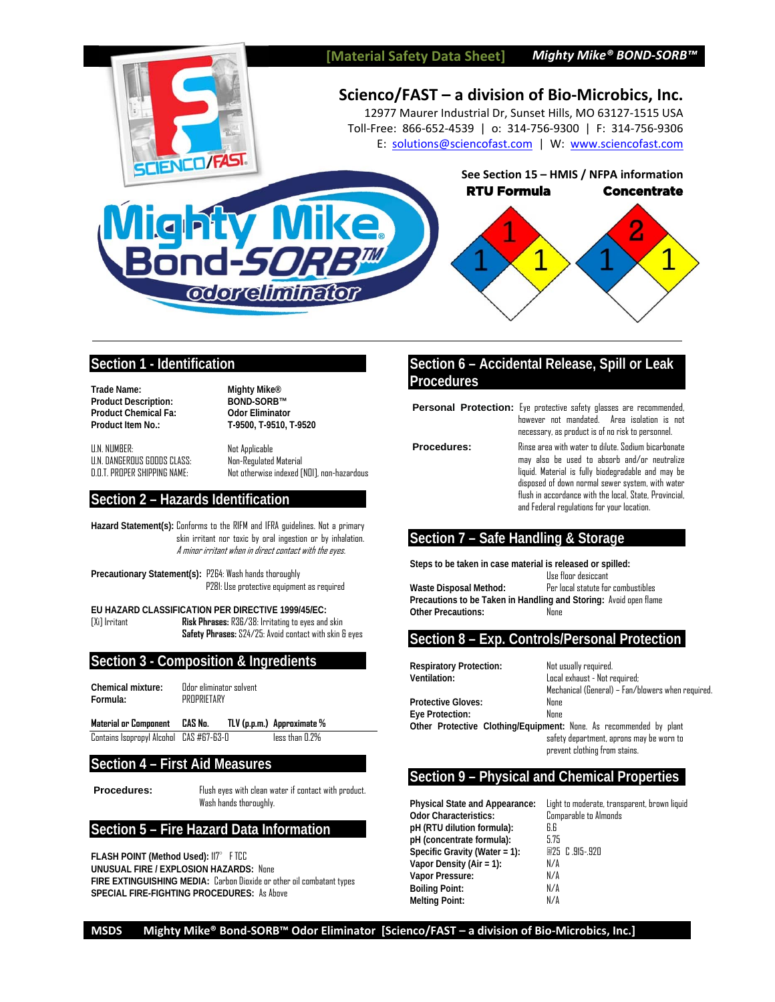

## **Section 1 - Identification**

**Trade Name:** Mighty Mike<sup>®</sup><br>Product Description: BOND-SORB™ **Product Description: Product Chemical Fa: Odor Eliminator** 

**Product Item No.: T-9500, T-9510, T-9520** 

U.N. NUMBER: Not Applicable U.N. DANGEROUS GOODS CLASS: Non-Regulated Material

Not otherwise indexed [NOI], non-hazardous

## **Section 2 – Hazards Identification**

**Hazard Statement(s):** Conforms to the RIFM and IFRA guidelines. Not a primary skin irritant nor toxic by oral ingestion or by inhalation. A minor irritant when in direct contact with the eyes.

**Precautionary Statement(s):** P264: Wash hands thoroughly P281: Use protective equipment as required

**EU HAZARD CLASSIFICATION PER DIRECTIVE 1999/45/EC:**  [Xi] Irritant **Risk Phrases:** R36/38: Irritating to eyes and skin **Safety Phrases:** S24/25: Avoid contact with skin & eyes

## **Section 3 - Composition & Ingredients**

Chemical mixture: **Odor eliminator solvent Formula:** PROPRIETARY

**Material or Component CAS No. TLV (p.p.m.) Approximate %** Contains Isopropyl Alcohol CAS #67-63-0 less than 0.2%

## **Section 4 – First Aid Measures**

**Procedures:** Flush eyes with clean water if contact with product. Wash hands thoroughly.

## **Section 5 – Fire Hazard Data Information**

**FLASH POINT (Method Used): 117° FTCC UNUSUAL FIRE / EXPLOSION HAZARDS:** None **FIRE EXTINGUISHING MEDIA:** Carbon Dioxide or other oil combatant types **SPECIAL FIRE-FIGHTING PROCEDURES:** As Above

# **Section 6 – Accidental Release, Spill or Leak Procedures**

**Personal Protection:** Eye protective safety glasses are recommended, however not mandated. Area isolation is not

necessary, as product is of no risk to personnel. **Procedures:** Rinse area with water to dilute. Sodium bicarbonate

may also be used to absorb and/or neutralize liquid. Material is fully biodegradable and may be disposed of down normal sewer system, with water flush in accordance with the local, State, Provincial, and Federal regulations for your location.

## **Section 7 – Safe Handling & Storage**

**Steps to be taken in case material is released or spilled:** Use floor desiccant **Waste Disposal Method:** Per local statute for combustibles **Precautions to be Taken in Handling and Storing:** Avoid open flame **Other Precautions:** None

## **Section 8 – Exp. Controls/Personal Protection**

**Respiratory Protection:** Not usually required.

**Ventilation:** Local exhaust - Not required; Mechanical (General) – Fan/blowers when required. **Protective Gloves:** None **Eye Protection:** None **Other Protective Clothing/Equipment:** None. As recommended by plant safety department, aprons may be worn to

prevent clothing from stains.

## **Section 9 – Physical and Chemical Properties**

**Physical State and Appearance:** Light to moderate, transparent, brown liquid **Odor Characteristics: Comparable to Almonds pH (RTU dilution formula):** 6.6 **pH (concentrate formula):** 5.75 **Specific Gravity (Water = 1):** 25 C .915-.920 **Vapor Density (Air = 1):** N/A **Vapor Pressure: Boiling Point:** N/A **Melting Point:** N/A